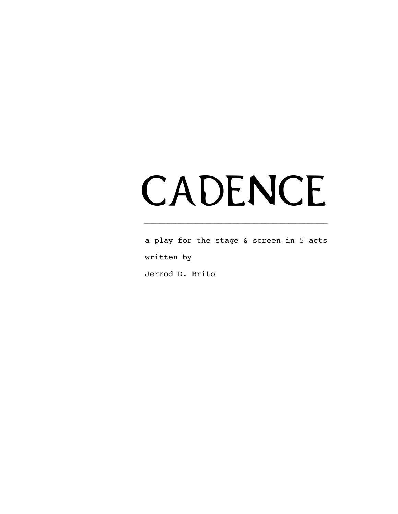# CADENCE

 **–––––––––––––––––––––––––––––––––––––––––––––––**

a play for the stage & screen in 5 acts written by

Jerrod D. Brito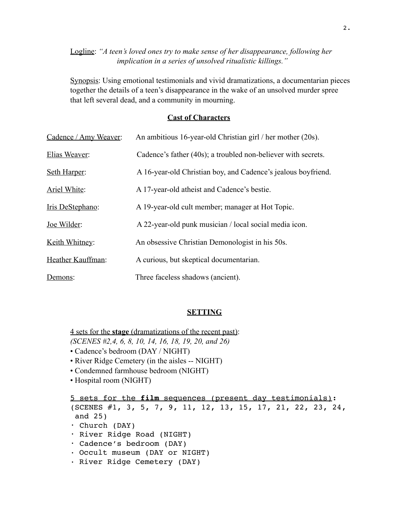# Logline: *"A teen's loved ones try to make sense of her disappearance, following her implication in a series of unsolved ritualistic killings."*

Synopsis: Using emotional testimonials and vivid dramatizations, a documentarian pieces together the details of a teen's disappearance in the wake of an unsolved murder spree that left several dead, and a community in mourning.

# **Cast of Characters**

| Cadence / Amy Weaver: | An ambitious 16-year-old Christian girl / her mother (20s).   |
|-----------------------|---------------------------------------------------------------|
| Elias Weaver:         | Cadence's father (40s); a troubled non-believer with secrets. |
| Seth Harper:          | A 16-year-old Christian boy, and Cadence's jealous boyfriend. |
| Ariel White:          | A 17-year-old atheist and Cadence's bestie.                   |
| Iris DeStephano:      | A 19-year-old cult member; manager at Hot Topic.              |
| Joe Wilder:           | A 22-year-old punk musician / local social media icon.        |
| Keith Whitney:        | An obsessive Christian Demonologist in his 50s.               |
| Heather Kauffman:     | A curious, but skeptical documentarian.                       |
| Demons:               | Three faceless shadows (ancient).                             |

# **SETTING**

4 sets for the **stage** (dramatizations of the recent past):

- *(SCENES #2,4, 6, 8, 10, 14, 16, 18, 19, 20, and 26)*
- Cadence's bedroom (DAY / NIGHT)
- River Ridge Cemetery (in the aisles -- NIGHT)
- Condemned farmhouse bedroom (NIGHT)
- Hospital room (NIGHT)

5 sets for the **film** sequences (present day testimonials): (SCENES #1, 3, 5, 7, 9, 11, 12, 13, 15, 17, 21, 22, 23, 24, and 25) • Church (DAY) • River Ridge Road (NIGHT) • Cadence's bedroom (DAY) • Occult museum (DAY or NIGHT) • River Ridge Cemetery (DAY)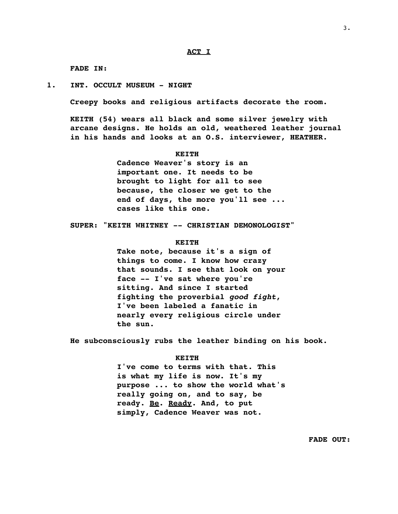**FADE IN:**

**1. INT. OCCULT MUSEUM - NIGHT**

**Creepy books and religious artifacts decorate the room.**

**KEITH (54) wears all black and some silver jewelry with arcane designs. He holds an old, weathered leather journal in his hands and looks at an O.S. interviewer, HEATHER.**

#### **KEITH**

**Cadence Weaver's story is an important one. It needs to be brought to light for all to see because, the closer we get to the end of days, the more you'll see ... cases like this one.** 

**SUPER: "KEITH WHITNEY -- CHRISTIAN DEMONOLOGIST"**

#### **KEITH**

**Take note, because it's a sign of things to come. I know how crazy that sounds. I see that look on your face -- I've sat where you're sitting. And since I started fighting the proverbial** *good fight***, I've been labeled a fanatic in nearly every religious circle under the sun.** 

**He subconsciously rubs the leather binding on his book.**

#### **KEITH**

**I've come to terms with that. This is what my life is now. It's my purpose ... to show the world what's really going on, and to say, be ready. Be. Ready. And, to put simply, Cadence Weaver was not.**

3.

**FADE OUT:**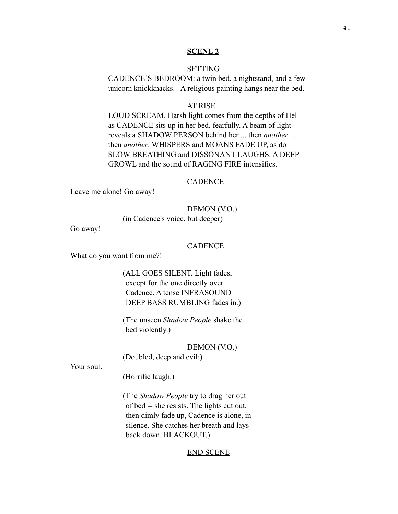#### **SCENE 2**

## **SETTING**

CADENCE'S BEDROOM: a twin bed, a nightstand, and a few unicorn knickknacks. A religious painting hangs near the bed.

#### AT RISE

LOUD SCREAM. Harsh light comes from the depths of Hell as CADENCE sits up in her bed, fearfully. A beam of light reveals a SHADOW PERSON behind her ... then *another* ... then *another*. WHISPERS and MOANS FADE UP, as do SLOW BREATHING and DISSONANT LAUGHS. A DEEP GROWL and the sound of RAGING FIRE intensifies.

## **CADENCE**

Leave me alone! Go away!

#### DEMON (V.O.)

(in Cadence's voice, but deeper)

Go away!

## **CADENCE**

What do you want from me?!

(ALL GOES SILENT. Light fades, except for the one directly over Cadence. A tense INFRASOUND DEEP BASS RUMBLING fades in.)

(The unseen *Shadow People* shake the bed violently.)

DEMON (V.O.) (Doubled, deep and evil:)

Your soul.

(Horrific laugh.)

(The *Shadow People* try to drag her out of bed -- she resists. The lights cut out, then dimly fade up, Cadence is alone, in silence. She catches her breath and lays back down. BLACKOUT.)

#### END SCENE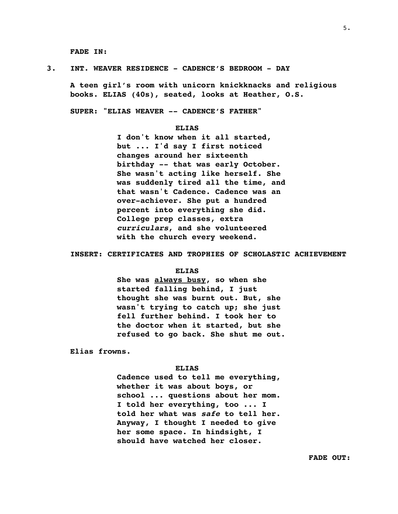**FADE IN:**

#### **3. INT. WEAVER RESIDENCE - CADENCE'S BEDROOM - DAY**

**A teen girl's room with unicorn knickknacks and religious books. ELIAS (40s), seated, looks at Heather, O.S.**

**SUPER: "ELIAS WEAVER -- CADENCE'S FATHER"** 

#### **ELIAS**

**I don't know when it all started, but ... I'd say I first noticed changes around her sixteenth birthday -- that was early October. She wasn't acting like herself. She was suddenly tired all the time, and that wasn't Cadence. Cadence was an over-achiever. She put a hundred percent into everything she did. College prep classes, extra**  *curriculars***, and she volunteered with the church every weekend.** 

#### **INSERT: CERTIFICATES AND TROPHIES OF SCHOLASTIC ACHIEVEMENT**

#### **ELIAS**

**She was always busy, so when she started falling behind, I just thought she was burnt out. But, she wasn't trying to catch up; she just fell further behind. I took her to the doctor when it started, but she refused to go back. She shut me out.**

**Elias frowns.**

#### **ELIAS**

**Cadence used to tell me everything, whether it was about boys, or school ... questions about her mom. I told her everything, too ... I told her what was** *safe* **to tell her. Anyway, I thought I needed to give her some space. In hindsight, I should have watched her closer.**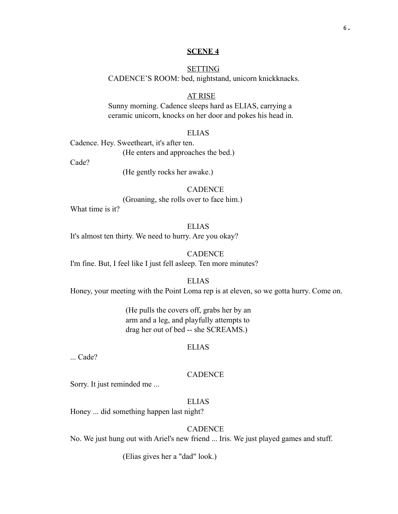## **SCENE 4**

# **SETTING** CADENCE'S ROOM: bed, nightstand, unicorn knickknacks.

## AT RISE

Sunny morning. Cadence sleeps hard as ELIAS, carrying a ceramic unicorn, knocks on her door and pokes his head in.

## ELIAS

Cadence. Hey. Sweetheart, it's after ten. (He enters and approaches the bed.) Cade?

(He gently rocks her awake.)

#### **CADENCE**

(Groaning, she rolls over to face him.)

What time is it?

ELIAS It's almost ten thirty. We need to hurry. Are you okay?

CADENCE I'm fine. But, I feel like I just fell asleep. Ten more minutes?

ELIAS

Honey, your meeting with the Point Loma rep is at eleven, so we gotta hurry. Come on.

(He pulls the covers off, grabs her by an arm and a leg, and playfully attempts to drag her out of bed -- she SCREAMS.)

## ELIAS

... Cade?

# **CADENCE**

Sorry. It just reminded me ...

## ELIAS

Honey ... did something happen last night?

# **CADENCE**

No. We just hung out with Ariel's new friend ... Iris. We just played games and stuff.

(Elias gives her a "dad" look.)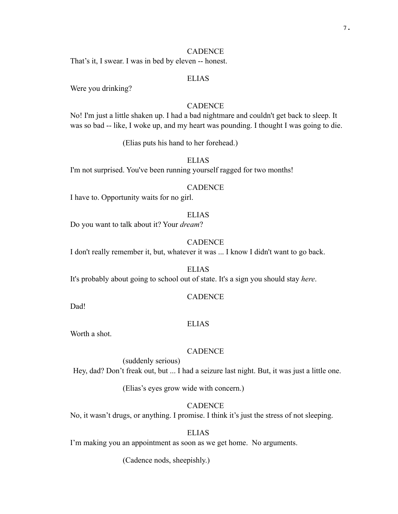## CADENCE

That's it, I swear. I was in bed by eleven -- honest.

## ELIAS

Were you drinking?

# **CADENCE**

No! I'm just a little shaken up. I had a bad nightmare and couldn't get back to sleep. It was so bad -- like, I woke up, and my heart was pounding. I thought I was going to die.

(Elias puts his hand to her forehead.)

# ELIAS

I'm not surprised. You've been running yourself ragged for two months!

## **CADENCE**

I have to. Opportunity waits for no girl.

## ELIAS

Do you want to talk about it? Your *dream*?

## CADENCE

I don't really remember it, but, whatever it was ... I know I didn't want to go back.

ELIAS It's probably about going to school out of state. It's a sign you should stay *here*.

## **CADENCE**

Dad!

#### ELIAS

Worth a shot.

#### CADENCE

(suddenly serious) Hey, dad? Don't freak out, but ... I had a seizure last night. But, it was just a little one.

(Elias's eyes grow wide with concern.)

## **CADENCE**

No, it wasn't drugs, or anything. I promise. I think it's just the stress of not sleeping.

# **ELIAS**

I'm making you an appointment as soon as we get home. No arguments.

(Cadence nods, sheepishly.)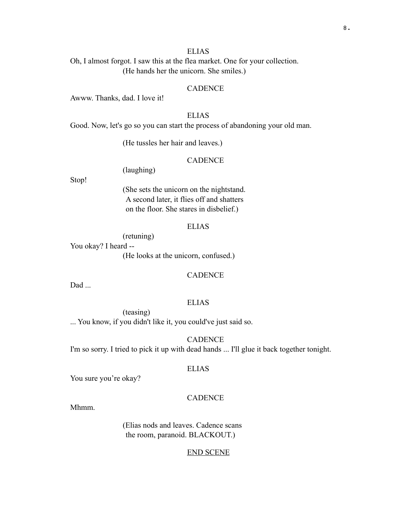## ELIAS

Oh, I almost forgot. I saw this at the flea market. One for your collection. (He hands her the unicorn. She smiles.)

## **CADENCE**

Awww. Thanks, dad. I love it!

# ELIAS

Good. Now, let's go so you can start the process of abandoning your old man.

(He tussles her hair and leaves.)

# CADENCE

(laughing)

Stop!

(She sets the unicorn on the nightstand. A second later, it flies off and shatters on the floor. She stares in disbelief.)

## ELIAS

(retuning)

You okay? I heard -- (He looks at the unicorn, confused.)

## **CADENCE**

Dad ...

## ELIAS

(teasing) ... You know, if you didn't like it, you could've just said so.

CADENCE

I'm so sorry. I tried to pick it up with dead hands ... I'll glue it back together tonight.

## ELIAS

You sure you're okay?

## **CADENCE**

Mhmm.

(Elias nods and leaves. Cadence scans the room, paranoid. BLACKOUT.)

#### END SCENE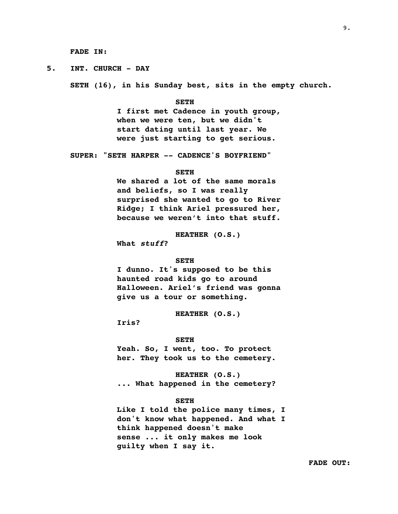**FADE IN:**

**5. INT. CHURCH - DAY**

**SETH (16), in his Sunday best, sits in the empty church.** 

#### **SETH**

**I first met Cadence in youth group, when we were ten, but we didn't start dating until last year. We were just starting to get serious.**

**SUPER: "SETH HARPER -- CADENCE'S BOYFRIEND"**

#### **SETH**

**We shared a lot of the same morals and beliefs, so I was really surprised she wanted to go to River Ridge; I think Ariel pressured her, because we weren't into that stuff.** 

**HEATHER (O.S.)**

**What** *stuff***?**

#### **SETH**

**I dunno. It's supposed to be this haunted road kids go to around Halloween. Ariel's friend was gonna give us a tour or something.**

**HEATHER (O.S.)**

**Iris?**

#### **SETH**

**Yeah. So, I went, too. To protect her. They took us to the cemetery.**

**HEATHER (O.S.) ... What happened in the cemetery?**

#### **SETH**

**Like I told the police many times, I don't know what happened. And what I think happened doesn't make sense ... it only makes me look guilty when I say it.**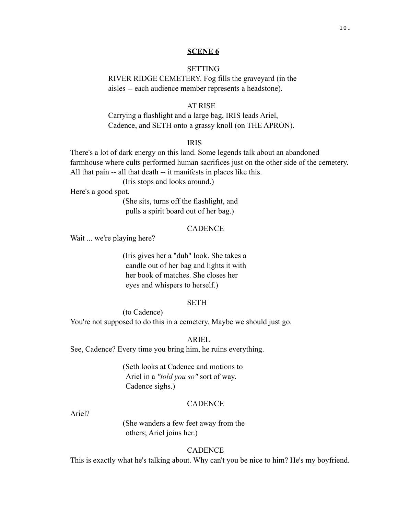#### **SCENE 6**

## **SETTING**

RIVER RIDGE CEMETERY. Fog fills the graveyard (in the aisles -- each audience member represents a headstone).

#### AT RISE

Carrying a flashlight and a large bag, IRIS leads Ariel, Cadence, and SETH onto a grassy knoll (on THE APRON).

## IRIS

There's a lot of dark energy on this land. Some legends talk about an abandoned farmhouse where cults performed human sacrifices just on the other side of the cemetery. All that pain -- all that death -- it manifests in places like this.

(Iris stops and looks around.)

Here's a good spot.

(She sits, turns off the flashlight, and pulls a spirit board out of her bag.)

## **CADENCE**

Wait ... we're playing here?

(Iris gives her a "duh" look. She takes a candle out of her bag and lights it with her book of matches. She closes her eyes and whispers to herself.)

#### SETH

(to Cadence)

You're not supposed to do this in a cemetery. Maybe we should just go.

## ARIEL

See, Cadence? Every time you bring him, he ruins everything.

(Seth looks at Cadence and motions to Ariel in a *"told you so"* sort of way. Cadence sighs.)

## **CADENCE**

Ariel?

(She wanders a few feet away from the others; Ariel joins her.)

## **CADENCE**

This is exactly what he's talking about. Why can't you be nice to him? He's my boyfriend.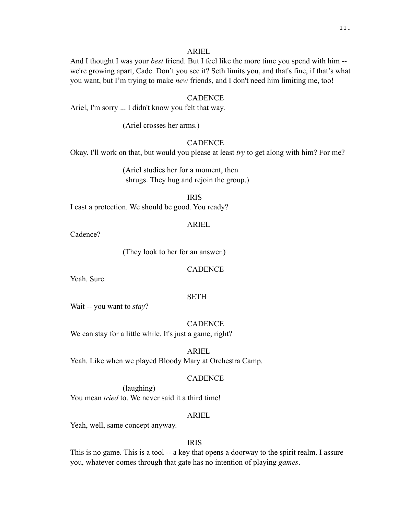And I thought I was your *best* friend. But I feel like the more time you spend with him - we're growing apart, Cade. Don't you see it? Seth limits you, and that's fine, if that's what you want, but I'm trying to make *new* friends, and I don't need him limiting me, too!

## **CADENCE**

Ariel, I'm sorry ... I didn't know you felt that way.

(Ariel crosses her arms.)

# **CADENCE**

Okay. I'll work on that, but would you please at least *try* to get along with him? For me?

(Ariel studies her for a moment, then shrugs. They hug and rejoin the group.)

## IRIS

I cast a protection. We should be good. You ready?

## ARIEL

Cadence?

(They look to her for an answer.)

**CADENCE** 

Yeah. Sure.

## SETH

Wait -- you want to *stay*?

## CADENCE

We can stay for a little while. It's just a game, right?

ARIEL Yeah. Like when we played Bloody Mary at Orchestra Camp.

#### **CADENCE**

(laughing) You mean *tried* to. We never said it a third time!

#### ARIEL

Yeah, well, same concept anyway.

# IRIS

This is no game. This is a tool -- a key that opens a doorway to the spirit realm. I assure you, whatever comes through that gate has no intention of playing *games*.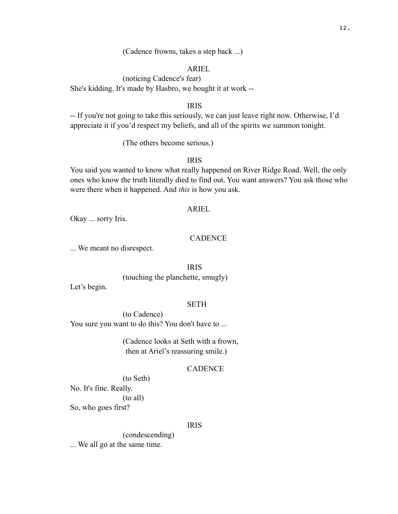(Cadence frowns, takes a step back ...)

## ARIEL

(noticing Cadence's fear) She's kidding. It's made by Hasbro, we bought it at work --

IRIS

-- If you're not going to take this seriously, we can just leave right now. Otherwise, I'd appreciate it if you'd respect my beliefs, and all of the spirits we summon tonight.

(The others become serious.)

IRIS

You said you wanted to know what really happened on River Ridge Road. Well, the only ones who know the truth literally died to find out. You want answers? You ask those who were there when it happened. And *this* is how you ask.

## ARIEL

Okay ... sorry Iris.

#### CADENCE

... We meant no disrespect.

IRIS

(touching the planchette, smugly)

Let's begin.

### SETH

(to Cadence) You sure you want to do this? You don't have to ...

> (Cadence looks at Seth with a frown, then at Ariel's reassuring smile.)

### CADENCE

(to Seth) No. It's fine. Really. (to all) So, who goes first?

## IRIS

(condescending) ... We all go at the same time.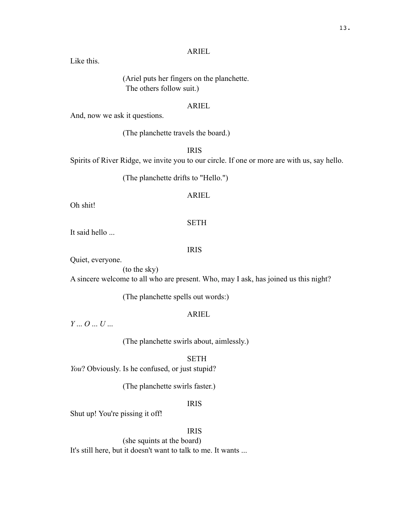Like this.

(Ariel puts her fingers on the planchette. The others follow suit.)

## ARIEL

And, now we ask it questions.

(The planchette travels the board.)

IRIS

Spirits of River Ridge, we invite you to our circle. If one or more are with us, say hello.

(The planchette drifts to "Hello.")

## ARIEL

Oh shit!

## SETH

It said hello ...

## IRIS

Quiet, everyone.

(to the sky)

A sincere welcome to all who are present. Who, may I ask, has joined us this night?

(The planchette spells out words:)

## ARIEL

*Y* ... *O* ... *U* ...

(The planchette swirls about, aimlessly.)

# **SETH**

*You*? Obviously. Is he confused, or just stupid?

(The planchette swirls faster.)

IRIS

Shut up! You're pissing it off!

# IRIS

(she squints at the board) It's still here, but it doesn't want to talk to me. It wants ...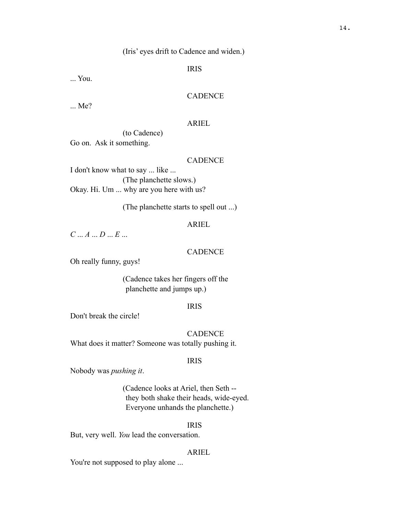(Iris' eyes drift to Cadence and widen.)

IRIS

... You.

## **CADENCE**

... Me?

## ARIEL

(to Cadence) Go on. Ask it something.

# CADENCE

I don't know what to say ... like ... (The planchette slows.) Okay. Hi. Um ... why are you here with us?

(The planchette starts to spell out ...)

# ARIEL

*C* ... *A* ... *D* ... *E* ...

#### **CADENCE**

Oh really funny, guys!

(Cadence takes her fingers off the planchette and jumps up.)

#### IRIS

Don't break the circle!

**CADENCE** What does it matter? Someone was totally pushing it.

## IRIS

Nobody was *pushing it*.

(Cadence looks at Ariel, then Seth - they both shake their heads, wide-eyed. Everyone unhands the planchette.)

## IRIS

But, very well. *You* lead the conversation.

#### ARIEL

You're not supposed to play alone ...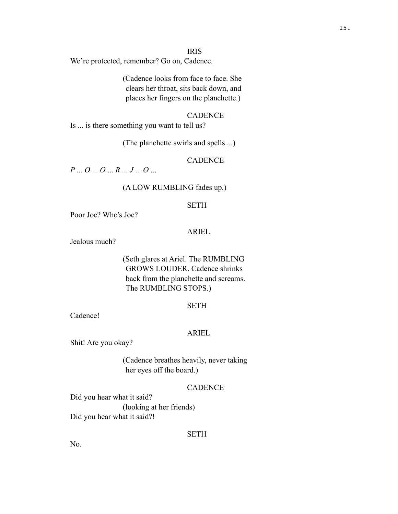#### IRIS

We're protected, remember? Go on, Cadence.

(Cadence looks from face to face. She clears her throat, sits back down, and places her fingers on the planchette.)

# **CADENCE**

Is ... is there something you want to tell us?

(The planchette swirls and spells ...)

# CADENCE

*P* ... *O* ... *O* ... *R* ... *J* ... *O* ...

#### (A LOW RUMBLING fades up.)

## SETH

Poor Joe? Who's Joe?

## ARIEL

Jealous much?

# (Seth glares at Ariel. The RUMBLING GROWS LOUDER. Cadence shrinks back from the planchette and screams. The RUMBLING STOPS.)

#### **SETH**

Cadence!

## ARIEL

Shit! Are you okay?

(Cadence breathes heavily, never taking her eyes off the board.)

## **CADENCE**

Did you hear what it said? (looking at her friends) Did you hear what it said?!

#### **SETH**

No.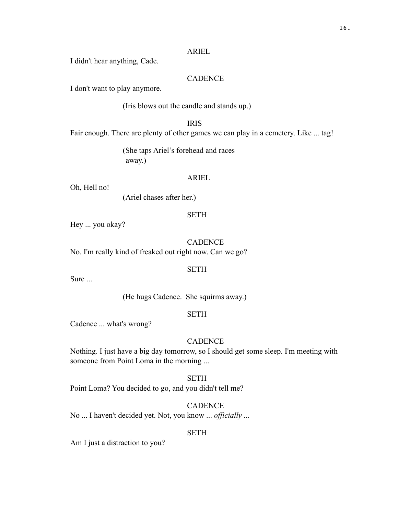I didn't hear anything, Cade.

# **CADENCE**

I don't want to play anymore.

(Iris blows out the candle and stands up.)

IRIS

Fair enough. There are plenty of other games we can play in a cemetery. Like ... tag!

(She taps Ariel's forehead and races away.)

#### ARIEL

Oh, Hell no!

(Ariel chases after her.)

# **SETH**

Hey ... you okay?

#### **CADENCE**

No. I'm really kind of freaked out right now. Can we go?

## SETH

Sure ...

(He hugs Cadence. She squirms away.)

## SETH

Cadence ... what's wrong?

## CADENCE

Nothing. I just have a big day tomorrow, so I should get some sleep. I'm meeting with someone from Point Loma in the morning ...

# SETH

Point Loma? You decided to go, and you didn't tell me?

## **CADENCE**

No ... I haven't decided yet. Not, you know ... *officially* ...

#### SETH

Am I just a distraction to you?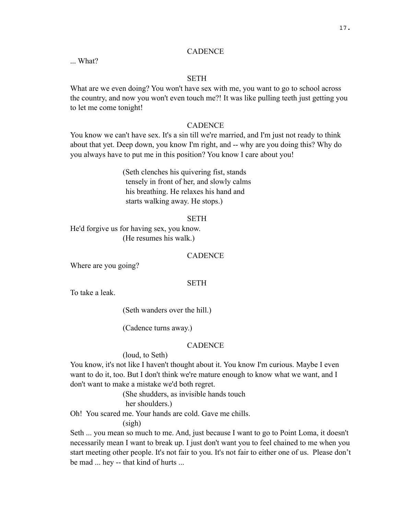## **CADENCE**

... What?

# **SETH**

What are we even doing? You won't have sex with me, you want to go to school across the country, and now you won't even touch me?! It was like pulling teeth just getting you to let me come tonight!

## **CADENCE**

You know we can't have sex. It's a sin till we're married, and I'm just not ready to think about that yet. Deep down, you know I'm right, and -- why are you doing this? Why do you always have to put me in this position? You know I care about you!

> (Seth clenches his quivering fist, stands tensely in front of her, and slowly calms his breathing. He relaxes his hand and starts walking away. He stops.)

#### **SETH**

He'd forgive us for having sex, you know. (He resumes his walk.)

#### **CADENCE**

Where are you going?

#### **SETH**

To take a leak.

(Seth wanders over the hill.)

(Cadence turns away.)

#### **CADENCE**

## (loud, to Seth)

You know, it's not like I haven't thought about it. You know I'm curious. Maybe I even want to do it, too. But I don't think we're mature enough to know what we want, and I don't want to make a mistake we'd both regret.

> (She shudders, as invisible hands touch her shoulders.)

Oh! You scared me. Your hands are cold. Gave me chills.

#### (sigh)

Seth ... you mean so much to me. And, just because I want to go to Point Loma, it doesn't necessarily mean I want to break up. I just don't want you to feel chained to me when you start meeting other people. It's not fair to you. It's not fair to either one of us. Please don't be mad ... hey -- that kind of hurts ...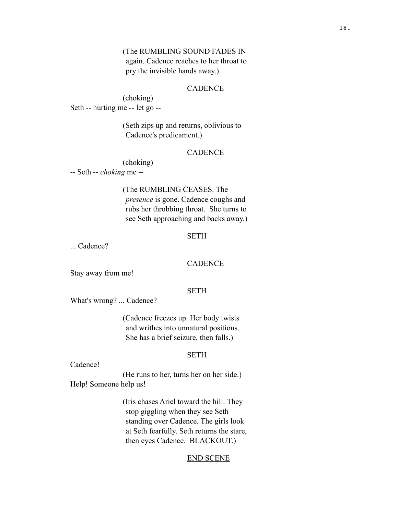(The RUMBLING SOUND FADES IN again. Cadence reaches to her throat to pry the invisible hands away.)

#### **CADENCE**

(choking) Seth -- hurting me -- let go --

> (Seth zips up and returns, oblivious to Cadence's predicament.)

## **CADENCE**

(choking)

-- Seth -- *choking* me --

(The RUMBLING CEASES. The

*presence* is gone. Cadence coughs and rubs her throbbing throat. She turns to see Seth approaching and backs away.)

# **SETH**

... Cadence?

## CADENCE

Stay away from me!

## SETH

What's wrong? ... Cadence?

(Cadence freezes up. Her body twists and writhes into unnatural positions. She has a brief seizure, then falls.)

## SETH

#### Cadence!

(He runs to her, turns her on her side.) Help! Someone help us!

> (Iris chases Ariel toward the hill. They stop giggling when they see Seth standing over Cadence. The girls look at Seth fearfully. Seth returns the stare, then eyes Cadence. BLACKOUT.)

## END SCENE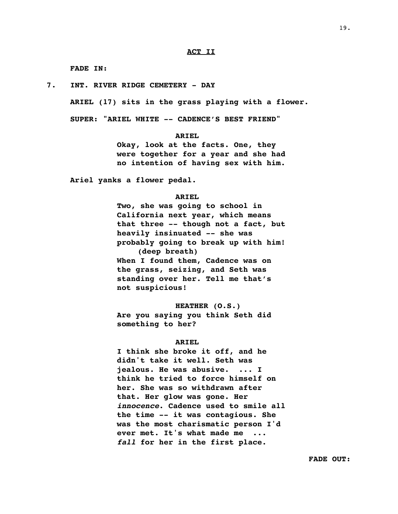#### **ACT II**

**FADE IN:**

**7. INT. RIVER RIDGE CEMETERY - DAY**

**ARIEL (17) sits in the grass playing with a flower.**

**SUPER: "ARIEL WHITE -- CADENCE'S BEST FRIEND"** 

**ARIEL**

**Okay, look at the facts. One, they were together for a year and she had no intention of having sex with him.**

**Ariel yanks a flower pedal.**

#### **ARIEL**

**Two, she was going to school in California next year, which means that three -- though not a fact, but heavily insinuated -- she was probably going to break up with him! (deep breath) When I found them, Cadence was on the grass, seizing, and Seth was standing over her. Tell me that's not suspicious!**

**HEATHER (O.S.) Are you saying you think Seth did something to her?**

#### **ARIEL**

**I think she broke it off, and he didn't take it well. Seth was jealous. He was abusive. ... I think he tried to force himself on her. She was so withdrawn after that. Her glow was gone. Her**  *innocence***. Cadence used to smile all the time -- it was contagious. She was the most charismatic person I'd ever met. It's what made me ...**  *fall* **for her in the first place.** 

19.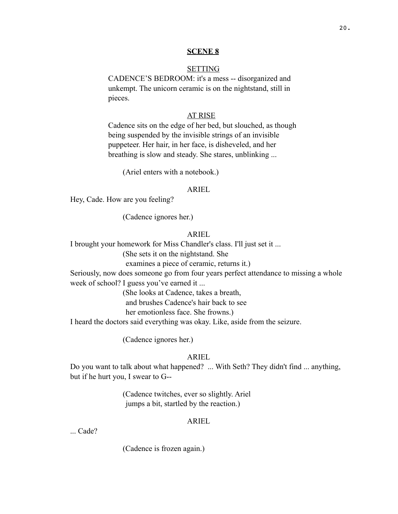#### **SCENE 8**

## **SETTING**

CADENCE'S BEDROOM: it's a mess -- disorganized and unkempt. The unicorn ceramic is on the nightstand, still in pieces.

## AT RISE

Cadence sits on the edge of her bed, but slouched, as though being suspended by the invisible strings of an invisible puppeteer. Her hair, in her face, is disheveled, and her breathing is slow and steady. She stares, unblinking ...

(Ariel enters with a notebook.)

#### ARIEL

Hey, Cade. How are you feeling?

(Cadence ignores her.)

## ARIEL

I brought your homework for Miss Chandler's class. I'll just set it ...

(She sets it on the nightstand. She

examines a piece of ceramic, returns it.)

Seriously, now does someone go from four years perfect attendance to missing a whole week of school? I guess you've earned it ...

(She looks at Cadence, takes a breath,

and brushes Cadence's hair back to see

her emotionless face. She frowns.)

I heard the doctors said everything was okay. Like, aside from the seizure.

(Cadence ignores her.)

## ARIEL

Do you want to talk about what happened? ... With Seth? They didn't find ... anything, but if he hurt you, I swear to G--

> (Cadence twitches, ever so slightly. Ariel jumps a bit, startled by the reaction.)

## ARIEL

... Cade?

(Cadence is frozen again.)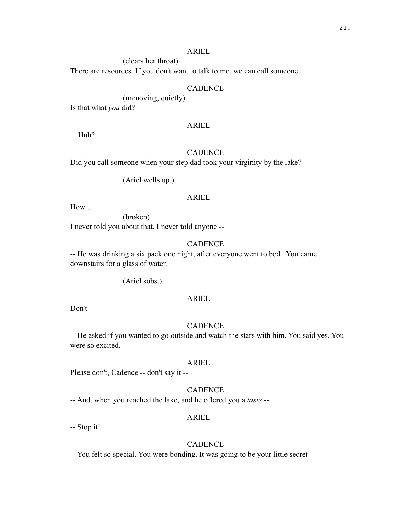(clears her throat)

There are resources. If you don't want to talk to me, we can call someone ...

#### CADENCE

(unmoving, quietly)

Is that what *you* did?

## ARIEL

... Huh?

## CADENCE

Did you call someone when your step dad took your virginity by the lake?

(Ariel wells up.)

#### ARIEL

How ...

(broken) I never told you about that. I never told anyone --

# **CADENCE**

-- He was drinking a six pack one night, after everyone went to bed. You came downstairs for a glass of water.

(Ariel sobs.)

## ARIEL

Don't --

# **CADENCE**

-- He asked if you wanted to go outside and watch the stars with him. You said yes. You were so excited.

#### ARIEL

Please don't, Cadence -- don't say it --

# **CADENCE**

-- And, when you reached the lake, and he offered you a *taste* --

## ARIEL

-- Stop it!

## **CADENCE**

-- You felt so special. You were bonding. It was going to be your little secret --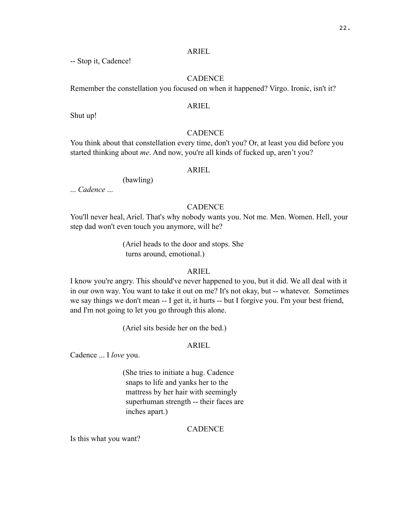-- Stop it, Cadence!

# **CADENCE**

Remember the constellation you focused on when it happened? Virgo. Ironic, isn't it?

## ARIEL

Shut up!

# **CADENCE**

You think about that constellation every time, don't you? Or, at least you did before you started thinking about *me*. And now, you're all kinds of fucked up, aren't you?

## ARIEL

(bawling)

... *Cadence* ...

## **CADENCE**

You'll never heal, Ariel. That's why nobody wants you. Not me. Men. Women. Hell, your step dad won't even touch you anymore, will he?

> (Ariel heads to the door and stops. She turns around, emotional.)

## ARIEL

I know you're angry. This should've never happened to you, but it did. We all deal with it in our own way. You want to take it out on me? It's not okay, but -- whatever. Sometimes we say things we don't mean -- I get it, it hurts -- but I forgive you. I'm your best friend, and I'm not going to let you go through this alone.

(Ariel sits beside her on the bed.)

## ARIEL

Cadence ... I *love* you.

(She tries to initiate a hug. Cadence snaps to life and yanks her to the mattress by her hair with seemingly superhuman strength -- their faces are inches apart.)

# **CADENCE**

Is this what you want?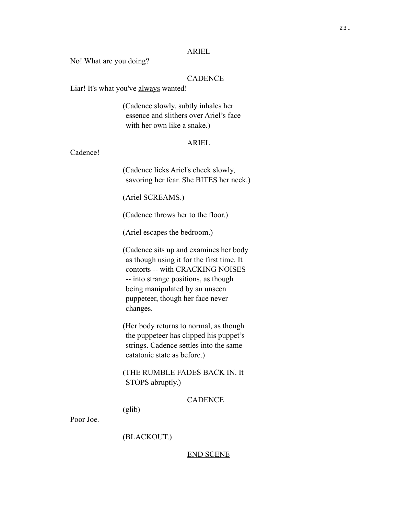No! What are you doing?

# CADENCE

Liar! It's what you've always wanted!

(Cadence slowly, subtly inhales her essence and slithers over Ariel's face with her own like a snake.)

# ARIEL

Cadence!

(Cadence licks Ariel's cheek slowly, savoring her fear. She BITES her neck.)

(Ariel SCREAMS.)

(Cadence throws her to the floor.)

(Ariel escapes the bedroom.)

(Cadence sits up and examines her body as though using it for the first time. It contorts -- with CRACKING NOISES -- into strange positions, as though being manipulated by an unseen puppeteer, though her face never changes.

(Her body returns to normal, as though the puppeteer has clipped his puppet's strings. Cadence settles into the same catatonic state as before.)

(THE RUMBLE FADES BACK IN. It STOPS abruptly.)

**CADENCE** 

(glib)

Poor Joe.

(BLACKOUT.)

END SCENE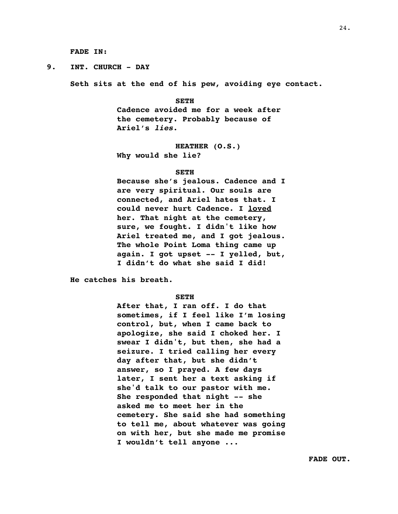**FADE IN:**

**9. INT. CHURCH - DAY**

**Seth sits at the end of his pew, avoiding eye contact.**

#### **SETH**

**Cadence avoided me for a week after the cemetery. Probably because of Ariel's** *lies***.**

#### **HEATHER (O.S.)**

**Why would she lie?**

#### **SETH**

**Because she's jealous. Cadence and I are very spiritual. Our souls are connected, and Ariel hates that. I could never hurt Cadence. I loved her. That night at the cemetery, sure, we fought. I didn't like how Ariel treated me, and I got jealous. The whole Point Loma thing came up again. I got upset -- I yelled, but, I didn't do what she said I did!** 

**He catches his breath.**

#### **SETH**

**After that, I ran off. I do that sometimes, if I feel like I'm losing control, but, when I came back to apologize, she said I choked her. I swear I didn't, but then, she had a seizure. I tried calling her every day after that, but she didn't answer, so I prayed. A few days later, I sent her a text asking if she'd talk to our pastor with me. She responded that night -- she asked me to meet her in the cemetery. She said she had something to tell me, about whatever was going on with her, but she made me promise I wouldn't tell anyone ...**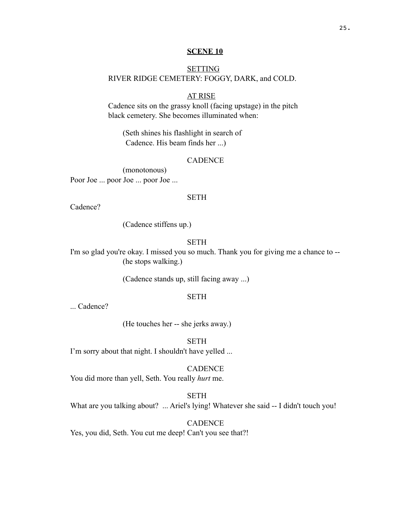#### **SCENE 10**

# **SETTING** RIVER RIDGE CEMETERY: FOGGY, DARK, and COLD.

# AT RISE

Cadence sits on the grassy knoll (facing upstage) in the pitch black cemetery. She becomes illuminated when:

(Seth shines his flashlight in search of Cadence. His beam finds her ...)

## **CADENCE**

(monotonous) Poor Joe ... poor Joe ... poor Joe ...

#### **SETH**

Cadence?

(Cadence stiffens up.)

## SETH

I'm so glad you're okay. I missed you so much. Thank you for giving me a chance to -- (he stops walking.)

(Cadence stands up, still facing away ...)

## **SETH**

... Cadence?

(He touches her -- she jerks away.)

SETH

I'm sorry about that night. I shouldn't have yelled ...

### CADENCE

You did more than yell, Seth. You really *hurt* me.

SETH

What are you talking about? ... Ariel's lying! Whatever she said -- I didn't touch you!

# CADENCE

Yes, you did, Seth. You cut me deep! Can't you see that?!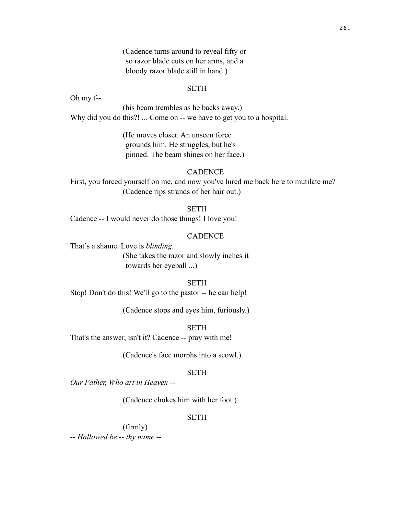(Cadence turns around to reveal fifty or so razor blade cuts on her arms, and a bloody razor blade still in hand.)

#### SETH

Oh my f--

(his beam trembles as he backs away.) Why did you do this?! ... Come on -- we have to get you to a hospital.

> (He moves closer. An unseen force grounds him. He struggles, but he's pinned. The beam shines on her face.)

## **CADENCE**

First, you forced yourself on me, and now you've lured me back here to mutilate me? (Cadence rips strands of her hair out.)

SETH

Cadence -- I would never do those things! I love you!

## **CADENCE**

That's a shame. Love is *blinding*. (She takes the razor and slowly inches it towards her eyeball ...)

## SETH

Stop! Don't do this! We'll go to the pastor -- he can help!

(Cadence stops and eyes him, furiously.)

**SETH** 

That's the answer, isn't it? Cadence -- pray with me!

(Cadence's face morphs into a scowl.)

## SETH

*Our Father, Who art in Heaven* --

(Cadence chokes him with her foot.)

# **SETH**

(firmly) -- *Hallowed be* -- *thy name* --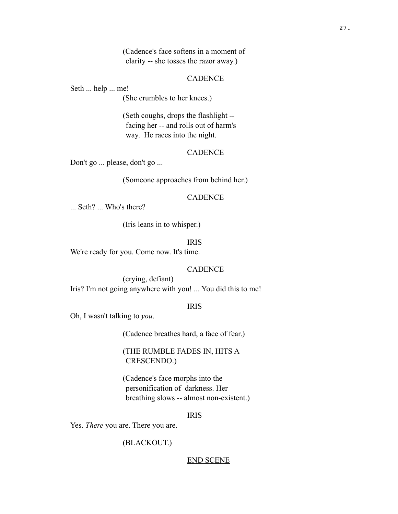(Cadence's face softens in a moment of clarity -- she tosses the razor away.)

#### **CADENCE**

Seth ... help ... me!

(She crumbles to her knees.)

(Seth coughs, drops the flashlight - facing her -- and rolls out of harm's way. He races into the night.

#### CADENCE

Don't go ... please, don't go ...

(Someone approaches from behind her.)

#### **CADENCE**

... Seth? ... Who's there?

(Iris leans in to whisper.)

## IRIS

We're ready for you. Come now. It's time.

## CADENCE

(crying, defiant) Iris? I'm not going anywhere with you! ... You did this to me!

#### IRIS

Oh, I wasn't talking to *you*.

(Cadence breathes hard, a face of fear.)

(THE RUMBLE FADES IN, HITS A CRESCENDO.)

(Cadence's face morphs into the personification of darkness. Her breathing slows -- almost non-existent.)

#### IRIS

Yes. *There* you are. There you are.

(BLACKOUT.)

#### END SCENE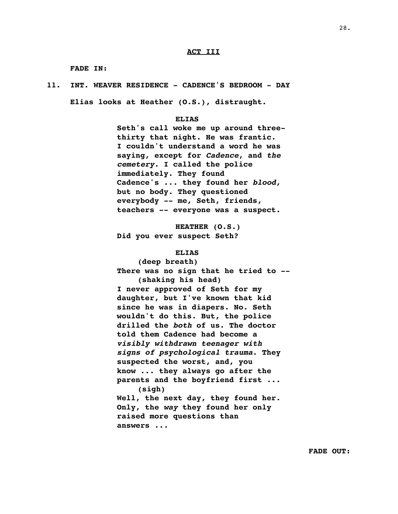#### **ACT III**

**FADE IN:**

**Elias looks at Heather (O.S.), distraught.**

#### **ELIAS**

**Seth's call woke me up around threethirty that night. He was frantic. I couldn't understand a word he was saying, except for** *Cadence***, and** *the cemetery***. I called the police immediately. They found Cadence's ... they found her** *blood***, but no body. They questioned everybody -- me, Seth, friends, teachers -- everyone was a suspect.**

**HEATHER (O.S.) Did you ever suspect Seth?**

#### **ELIAS**

**(deep breath) There was no sign that he tried to -- (shaking his head) I never approved of Seth for my daughter, but I've known that kid since he was in diapers. No. Seth wouldn't do this. But, the police drilled the** *both* **of us. The doctor told them Cadence had become a**  *visibly withdrawn teenager with signs of psychological trauma***. They suspected the worst, and, you know ... they always go after the parents and the boyfriend first ... (sigh) Well, the next day, they found her. Only, the** *way* **they found her only raised more questions than answers ...**

**FADE OUT:**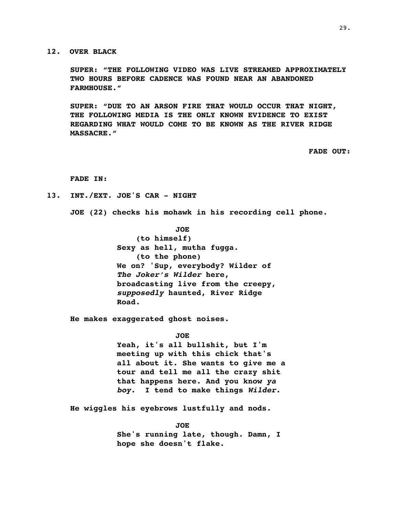**12. OVER BLACK**

**SUPER: "THE FOLLOWING VIDEO WAS LIVE STREAMED APPROXIMATELY TWO HOURS BEFORE CADENCE WAS FOUND NEAR AN ABANDONED FARMHOUSE."**

**SUPER: "DUE TO AN ARSON FIRE THAT WOULD OCCUR THAT NIGHT, THE FOLLOWING MEDIA IS THE ONLY KNOWN EVIDENCE TO EXIST REGARDING WHAT WOULD COME TO BE KNOWN AS THE RIVER RIDGE MASSACRE."**

**FADE OUT:**

#### **FADE IN:**

**13. INT./EXT. JOE'S CAR - NIGHT**

**JOE (22) checks his mohawk in his recording cell phone.** 

**JOE (to himself) Sexy as hell, mutha fugga. (to the phone) We on? 'Sup, everybody? Wilder of**  *The Joker's Wilder* **here, broadcasting live from the creepy,**  *supposedly* **haunted, River Ridge Road.**

**He makes exaggerated ghost noises.**

**JOE**

**Yeah, it's all bullshit, but I'm meeting up with this chick that's all about it. She wants to give me a tour and tell me all the crazy shit that happens here. And you know** *ya boy***. I tend to make things** *Wilder***.**

**He wiggles his eyebrows lustfully and nods.**

**JOE She's running late, though. Damn, I hope she doesn't flake.**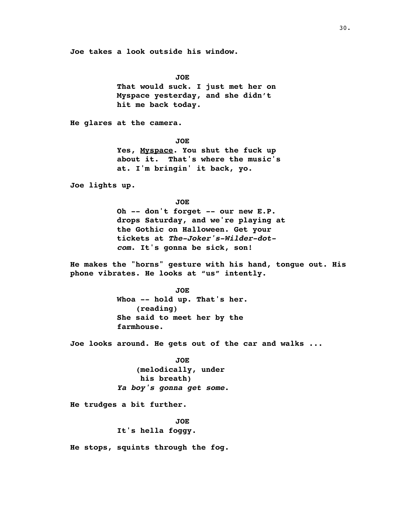**Joe takes a look outside his window.**

**JOE That would suck. I just met her on Myspace yesterday, and she didn't hit me back today.**

**He glares at the camera.**

**JOE Yes, Myspace. You shut the fuck up about it. That's where the music's at. I'm bringin' it back, yo.**

**Joe lights up.**

**JOE**

**Oh -- don't forget -- our new E.P. drops Saturday, and we're playing at the Gothic on Halloween. Get your tickets at** *The-Joker's-Wilder-dotcom***. It's gonna be sick, son!**

**He makes the "horns" gesture with his hand, tongue out. His phone vibrates. He looks at "us" intently.**

> **JOE Whoa -- hold up. That's her. (reading) She said to meet her by the farmhouse.**

**Joe looks around. He gets out of the car and walks ...**

**JOE (melodically, under his breath)** *Ya boy's gonna get some***.**

**He trudges a bit further.**

**JOE It's hella foggy.**

**He stops, squints through the fog.**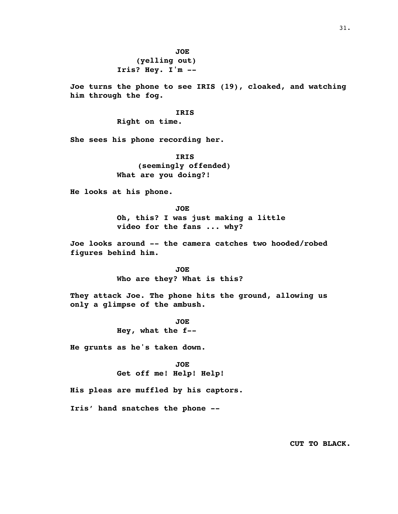**(yelling out) Iris? Hey. I'm --**

**Joe turns the phone to see IRIS (19), cloaked, and watching him through the fog.**

#### **IRIS**

**Right on time.**

**She sees his phone recording her.**

**IRIS (seemingly offended) What are you doing?!**

**He looks at his phone.**

**JOE Oh, this? I was just making a little video for the fans ... why?** 

**Joe looks around -- the camera catches two hooded/robed figures behind him.**

> **JOE Who are they? What is this?**

**They attack Joe. The phone hits the ground, allowing us only a glimpse of the ambush.**

> **JOE Hey, what the f--**

**He grunts as he's taken down.**

**JOE Get off me! Help! Help!** 

**His pleas are muffled by his captors.**

**Iris' hand snatches the phone --**

**CUT TO BLACK.**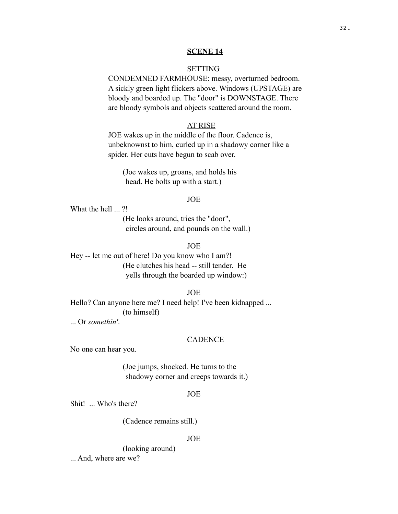#### **SCENE 14**

## **SETTING**

CONDEMNED FARMHOUSE: messy, overturned bedroom. A sickly green light flickers above. Windows (UPSTAGE) are bloody and boarded up. The "door" is DOWNSTAGE. There are bloody symbols and objects scattered around the room.

## AT RISE

JOE wakes up in the middle of the floor. Cadence is, unbeknownst to him, curled up in a shadowy corner like a spider. Her cuts have begun to scab over.

(Joe wakes up, groans, and holds his head. He bolts up with a start.)

## JOE

What the hell ... ?!

(He looks around, tries the "door", circles around, and pounds on the wall.)

JOE

Hey -- let me out of here! Do you know who I am?! (He clutches his head -- still tender. He yells through the boarded up window:)

JOE

Hello? Can anyone here me? I need help! I've been kidnapped ... (to himself)

... Or *somethin'*.

#### CADENCE

No one can hear you.

(Joe jumps, shocked. He turns to the shadowy corner and creeps towards it.)

#### JOE

Shit! ... Who's there?

(Cadence remains still.)

## JOE

(looking around) ... And, where are we?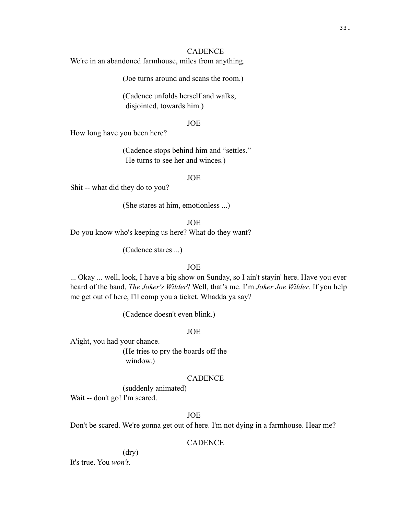## **CADENCE**

We're in an abandoned farmhouse, miles from anything.

(Joe turns around and scans the room.)

(Cadence unfolds herself and walks, disjointed, towards him.)

#### JOE

How long have you been here?

(Cadence stops behind him and "settles." He turns to see her and winces.)

JOE

Shit -- what did they do to you?

(She stares at him, emotionless ...)

JOE

Do you know who's keeping us here? What do they want?

(Cadence stares ...)

## JOE

... Okay ... well, look, I have a big show on Sunday, so I ain't stayin' here. Have you ever heard of the band, *The Joker's Wilder*? Well, that's me. I'm *Joker Joe Wilder*. If you help me get out of here, I'll comp you a ticket. Whadda ya say?

(Cadence doesn't even blink.)

JOE

A'ight, you had your chance.

(He tries to pry the boards off the window.)

## **CADENCE**

(suddenly animated) Wait -- don't go! I'm scared.

## JOE

Don't be scared. We're gonna get out of here. I'm not dying in a farmhouse. Hear me?

# **CADENCE**

#### (dry)

It's true. You *won't*.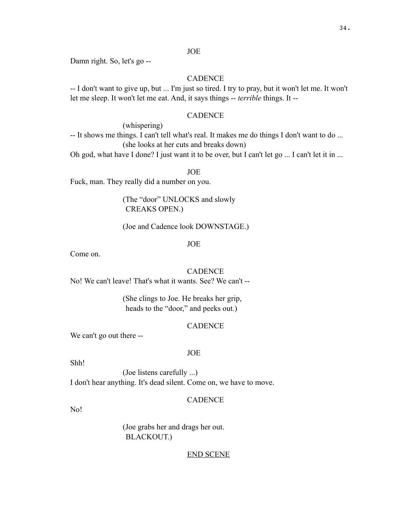## JOE

Damn right. So, let's go --

## CADENCE

-- I don't want to give up, but ... I'm just so tired. I try to pray, but it won't let me. It won't let me sleep. It won't let me eat. And, it says things -- *terrible* things. It --

## CADENCE

(whispering)

-- It shows me things. I can't tell what's real. It makes me do things I don't want to do ... (she looks at her cuts and breaks down)

Oh god, what have I done? I just want it to be over, but I can't let go ... I can't let it in ...

JOE

Fuck, man. They really did a number on you.

(The "door" UNLOCKS and slowly CREAKS OPEN.)

(Joe and Cadence look DOWNSTAGE.)

JOE

Come on.

## **CADENCE**

No! We can't leave! That's what it wants. See? We can't --

(She clings to Joe. He breaks her grip, heads to the "door," and peeks out.)

#### CADENCE

We can't go out there --

#### JOE

Shh!

(Joe listens carefully ...) I don't hear anything. It's dead silent. Come on, we have to move.

## **CADENCE**

No!

(Joe grabs her and drags her out. BLACKOUT.)

## END SCENE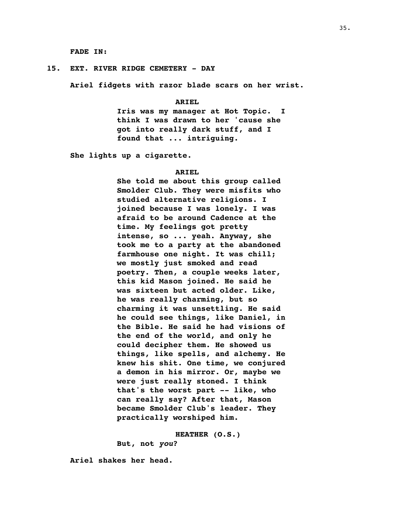**FADE IN:**

#### **15. EXT. RIVER RIDGE CEMETERY - DAY**

**Ariel fidgets with razor blade scars on her wrist.**

#### **ARIEL**

**Iris was my manager at Hot Topic. I think I was drawn to her 'cause she got into really dark stuff, and I found that ... intriguing.**

**She lights up a cigarette.**

#### **ARIEL**

**She told me about this group called Smolder Club. They were misfits who studied alternative religions. I joined because I was lonely. I was afraid to be around Cadence at the time. My feelings got pretty intense, so ... yeah. Anyway, she took me to a party at the abandoned farmhouse one night. It was chill; we mostly just smoked and read poetry. Then, a couple weeks later, this kid Mason joined. He said he was sixteen but acted older. Like, he was really charming, but so charming it was unsettling. He said he could see things, like Daniel, in the Bible. He said he had visions of the end of the world, and only he could decipher them. He showed us things, like spells, and alchemy. He knew his shit. One time, we conjured a demon in his mirror. Or, maybe we were just really stoned. I think that's the worst part -- like, who can really say? After that, Mason became Smolder Club's leader. They practically worshiped him.**

**HEATHER (O.S.)**

**But, not** *you***?**

**Ariel shakes her head.**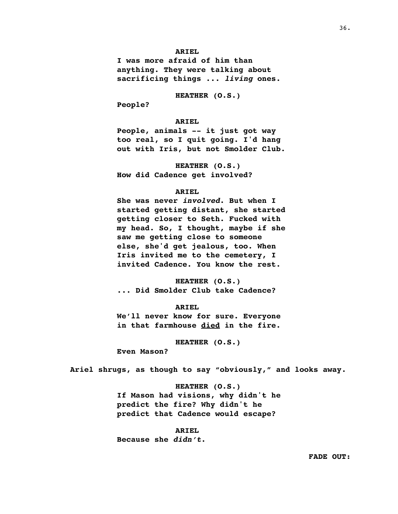**I was more afraid of him than anything. They were talking about sacrificing things ...** *living* **ones.** 

**HEATHER (O.S.)**

**People?**

#### **ARIEL**

**People, animals -- it just got way too real, so I quit going. I'd hang out with Iris, but not Smolder Club.**

**HEATHER (O.S.) How did Cadence get involved?**

#### **ARIEL**

**She was never** *involved***. But when I started getting distant, she started getting closer to Seth. Fucked with my head. So, I thought, maybe if she saw me getting close to someone else, she'd get jealous, too. When Iris invited me to the cemetery, I invited Cadence. You know the rest.**

**HEATHER (O.S.) ... Did Smolder Club take Cadence?**

#### **ARIEL**

**We'll never know for sure. Everyone in that farmhouse died in the fire.** 

**HEATHER (O.S.)**

**Even Mason?**

**Ariel shrugs, as though to say "obviously," and looks away.**

# **HEATHER (O.S.) If Mason had visions, why didn't he predict the fire? Why didn't he predict that Cadence would escape?**

#### **ARIEL**

**Because she** *didn't***.**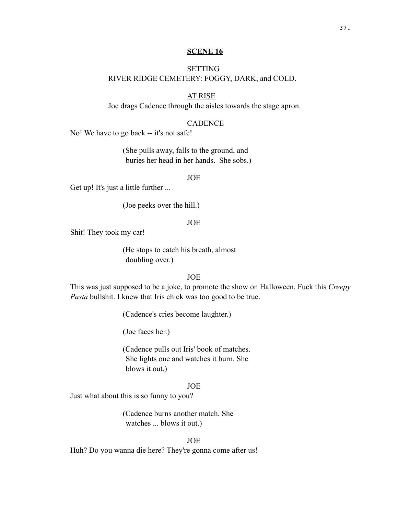#### **SCENE 16**

# **SETTING** RIVER RIDGE CEMETERY: FOGGY, DARK, and COLD.

# AT RISE

Joe drags Cadence through the aisles towards the stage apron.

## **CADENCE**

No! We have to go back -- it's not safe!

(She pulls away, falls to the ground, and buries her head in her hands. She sobs.)

JOE

Get up! It's just a little further ...

(Joe peeks over the hill.)

JOE

Shit! They took my car!

(He stops to catch his breath, almost doubling over.)

JOE

This was just supposed to be a joke, to promote the show on Halloween. Fuck this *Creepy Pasta* bullshit. I knew that Iris chick was too good to be true.

(Cadence's cries become laughter.)

(Joe faces her.)

(Cadence pulls out Iris' book of matches. She lights one and watches it burn. She blows it out.)

## JOE

Just what about this is so funny to you?

(Cadence burns another match. She watches ... blows it out.)

## JOE

Huh? Do you wanna die here? They're gonna come after us!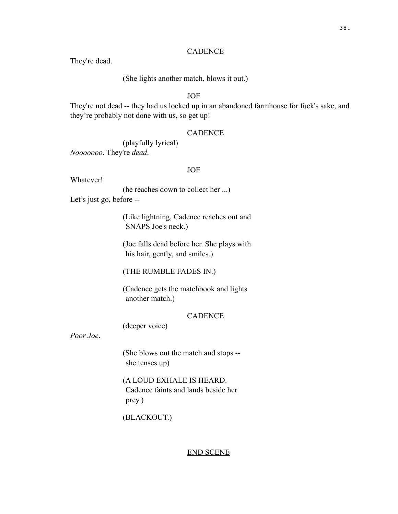## **CADENCE**

They're dead.

(She lights another match, blows it out.)

JOE

They're not dead -- they had us locked up in an abandoned farmhouse for fuck's sake, and they're probably not done with us, so get up!

## **CADENCE**

(playfully lyrical) *Nooooooo*. They're *dead*.

#### JOE

Whatever!

(he reaches down to collect her ...) Let's just go, before --

> (Like lightning, Cadence reaches out and SNAPS Joe's neck.)

> (Joe falls dead before her. She plays with his hair, gently, and smiles.)

(THE RUMBLE FADES IN.)

(Cadence gets the matchbook and lights another match.)

## **CADENCE**

(deeper voice)

*Poor Joe*.

(She blows out the match and stops - she tenses up)

(A LOUD EXHALE IS HEARD. Cadence faints and lands beside her prey.)

(BLACKOUT.)

#### END SCENE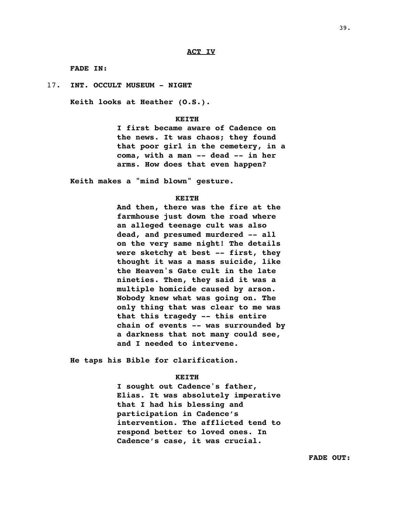**FADE IN:**

17. **INT. OCCULT MUSEUM - NIGHT**

**Keith looks at Heather (O.S.).**

#### **KEITH**

**I first became aware of Cadence on the news. It was chaos; they found that poor girl in the cemetery, in a coma, with a man -- dead -- in her arms. How does that even happen?** 

**Keith makes a "mind blown" gesture.**

#### **KEITH**

**And then, there was the fire at the farmhouse just down the road where an alleged teenage cult was also dead, and presumed murdered -- all on the very same night! The details were sketchy at best -- first, they thought it was a mass suicide, like the Heaven's Gate cult in the late nineties. Then, they said it was a multiple homicide caused by arson. Nobody knew what was going on. The only thing that was clear to me was that this tragedy -- this entire chain of events -- was surrounded by a darkness that not many could see, and I needed to intervene.**

**He taps his Bible for clarification.**

#### **KEITH**

**I sought out Cadence's father, Elias. It was absolutely imperative that I had his blessing and participation in Cadence's intervention. The afflicted tend to respond better to loved ones. In Cadence's case, it was crucial.**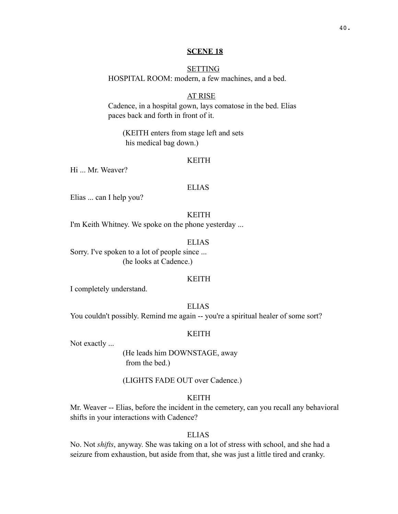#### **SCENE 18**

## **SETTING**

HOSPITAL ROOM: modern, a few machines, and a bed.

# AT RISE

Cadence, in a hospital gown, lays comatose in the bed. Elias paces back and forth in front of it.

(KEITH enters from stage left and sets his medical bag down.)

## KEITH

Hi ... Mr. Weaver?

#### ELIAS

Elias ... can I help you?

## KEITH

I'm Keith Whitney. We spoke on the phone yesterday ...

## ELIAS

Sorry. I've spoken to a lot of people since ... (he looks at Cadence.)

#### KEITH

I completely understand.

ELIAS

You couldn't possibly. Remind me again -- you're a spiritual healer of some sort?

## KEITH

Not exactly ...

(He leads him DOWNSTAGE, away from the bed.)

(LIGHTS FADE OUT over Cadence.)

# KEITH

Mr. Weaver -- Elias, before the incident in the cemetery, can you recall any behavioral shifts in your interactions with Cadence?

## ELIAS

No. Not *shifts*, anyway. She was taking on a lot of stress with school, and she had a seizure from exhaustion, but aside from that, she was just a little tired and cranky.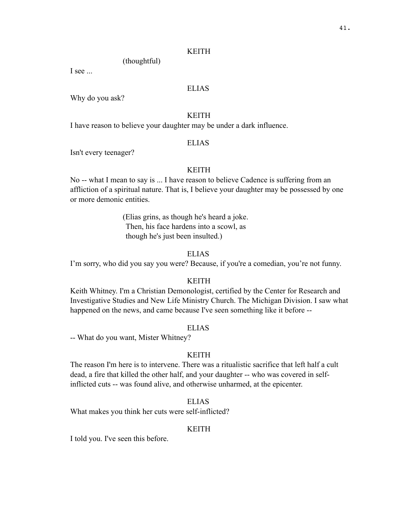## KEITH

(thoughtful)

I see ...

## ELIAS

Why do you ask?

## KEITH

I have reason to believe your daughter may be under a dark influence.

## ELIAS

Isn't every teenager?

## KEITH

No -- what I mean to say is ... I have reason to believe Cadence is suffering from an affliction of a spiritual nature. That is, I believe your daughter may be possessed by one or more demonic entities.

> (Elias grins, as though he's heard a joke. Then, his face hardens into a scowl, as though he's just been insulted.)

## ELIAS

I'm sorry, who did you say you were? Because, if you're a comedian, you're not funny.

#### KEITH

Keith Whitney. I'm a Christian Demonologist, certified by the Center for Research and Investigative Studies and New Life Ministry Church. The Michigan Division. I saw what happened on the news, and came because I've seen something like it before --

## ELIAS

-- What do you want, Mister Whitney?

## **KEITH**

The reason I'm here is to intervene. There was a ritualistic sacrifice that left half a cult dead, a fire that killed the other half, and your daughter -- who was covered in selfinflicted cuts -- was found alive, and otherwise unharmed, at the epicenter.

## ELIAS

What makes you think her cuts were self-inflicted?

## KEITH

I told you. I've seen this before.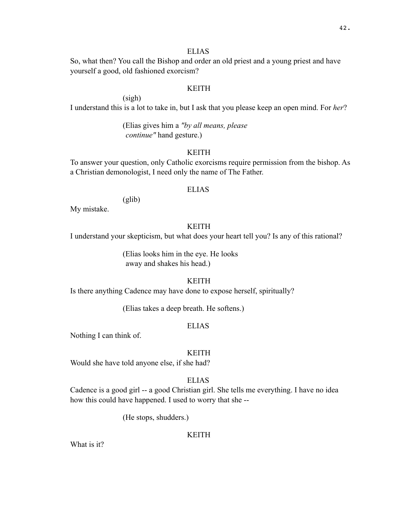## ELIAS

So, what then? You call the Bishop and order an old priest and a young priest and have yourself a good, old fashioned exorcism?

## KEITH

(sigh) I understand this is a lot to take in, but I ask that you please keep an open mind. For *her*?

> (Elias gives him a *"by all means, please continue"* hand gesture.)

## KEITH

To answer your question, only Catholic exorcisms require permission from the bishop. As a Christian demonologist, I need only the name of The Father.

# ELIAS

(glib)

My mistake.

# KEITH

I understand your skepticism, but what does your heart tell you? Is any of this rational?

(Elias looks him in the eye. He looks away and shakes his head.)

## KEITH

Is there anything Cadence may have done to expose herself, spiritually?

(Elias takes a deep breath. He softens.)

## ELIAS

Nothing I can think of.

## KEITH

Would she have told anyone else, if she had?

## ELIAS

Cadence is a good girl -- a good Christian girl. She tells me everything. I have no idea how this could have happened. I used to worry that she --

(He stops, shudders.)

## KEITH

What is it?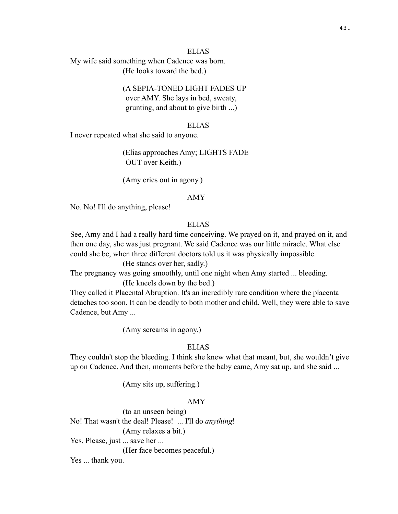## ELIAS

My wife said something when Cadence was born. (He looks toward the bed.)

# (A SEPIA-TONED LIGHT FADES UP

over AMY. She lays in bed, sweaty, grunting, and about to give birth ...)

#### ELIAS

I never repeated what she said to anyone.

(Elias approaches Amy; LIGHTS FADE OUT over Keith.)

(Amy cries out in agony.)

#### AMY

No. No! I'll do anything, please!

# ELIAS

See, Amy and I had a really hard time conceiving. We prayed on it, and prayed on it, and then one day, she was just pregnant. We said Cadence was our little miracle. What else could she be, when three different doctors told us it was physically impossible.

(He stands over her, sadly.)

The pregnancy was going smoothly, until one night when Amy started ... bleeding. (He kneels down by the bed.)

They called it Placental Abruption. It's an incredibly rare condition where the placenta detaches too soon. It can be deadly to both mother and child. Well, they were able to save Cadence, but Amy ...

(Amy screams in agony.)

# ELIAS

They couldn't stop the bleeding. I think she knew what that meant, but, she wouldn't give up on Cadence. And then, moments before the baby came, Amy sat up, and she said ...

(Amy sits up, suffering.)

## AMY

(to an unseen being) No! That wasn't the deal! Please! ... I'll do *anything*! (Amy relaxes a bit.) Yes. Please, just ... save her ... (Her face becomes peaceful.) Yes ... thank you.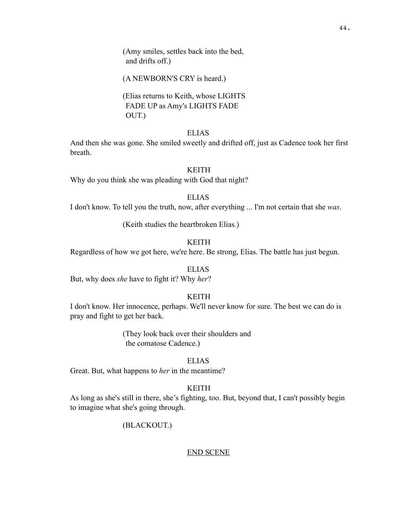(Amy smiles, settles back into the bed, and drifts off.)

(A NEWBORN'S CRY is heard.)

(Elias returns to Keith, whose LIGHTS FADE UP as Amy's LIGHTS FADE OUT.)

# ELIAS

And then she was gone. She smiled sweetly and drifted off, just as Cadence took her first breath.

#### KEITH

Why do you think she was pleading with God that night?

# ELIAS

I don't know. To tell you the truth, now, after everything ... I'm not certain that she *was*.

(Keith studies the heartbroken Elias.)

## KEITH

Regardless of how we got here, we're here. Be strong, Elias. The battle has just begun.

# ELIAS

But, why does *she* have to fight it? Why *her*?

## KEITH

I don't know. Her innocence, perhaps. We'll never know for sure. The best we can do is pray and fight to get her back.

> (They look back over their shoulders and the comatose Cadence.)

## ELIAS

Great. But, what happens to *her* in the meantime?

## KEITH

As long as she's still in there, she's fighting, too. But, beyond that, I can't possibly begin to imagine what she's going through.

## (BLACKOUT.)

#### END SCENE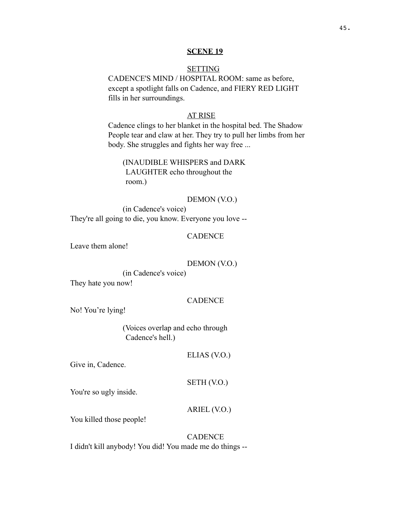#### **SCENE 19**

## **SETTING**

CADENCE'S MIND / HOSPITAL ROOM: same as before, except a spotlight falls on Cadence, and FIERY RED LIGHT fills in her surroundings.

## AT RISE

Cadence clings to her blanket in the hospital bed. The Shadow People tear and claw at her. They try to pull her limbs from her body. She struggles and fights her way free ...

# (INAUDIBLE WHISPERS and DARK LAUGHTER echo throughout the room.)

## DEMON (V.O.)

(in Cadence's voice) They're all going to die, you know. Everyone you love --

## **CADENCE**

Leave them alone!

## DEMON (V.O.)

(in Cadence's voice)

They hate you now!

## **CADENCE**

No! You're lying!

(Voices overlap and echo through Cadence's hell.)

ELIAS (V.O.)

Give in, Cadence.

## SETH (V.O.)

You're so ugly inside.

ARIEL (V.O.)

You killed those people!

# **CADENCE** I didn't kill anybody! You did! You made me do things --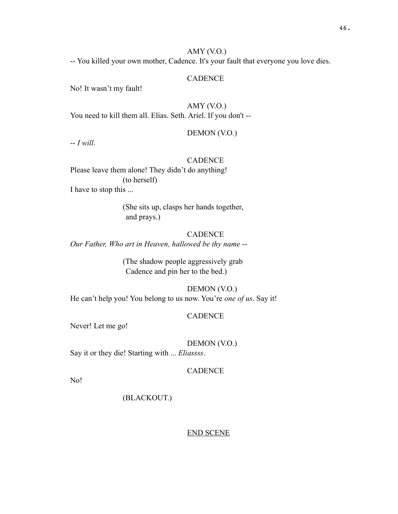## AMY (V.O.)

-- You killed your own mother, Cadence. It's your fault that everyone you love dies.

# **CADENCE**

No! It wasn't my fault!

AMY (V.O.) You need to kill them all. Elias. Seth. Ariel. If you don't --

DEMON (V.O.)

-- *I will*.

# **CADENCE**

Please leave them alone! They didn't do anything! (to herself) I have to stop this ...

> (She sits up, clasps her hands together, and prays.)

#### **CADENCE**

*Our Father, Who art in Heaven, hallowed be thy name* --

(The shadow people aggressively grab Cadence and pin her to the bed.)

# DEMON (V.O.)

He can't help you! You belong to us now. You're *one of us*. Say it!

#### CADENCE

Never! Let me go!

DEMON (V.O.)

Say it or they die! Starting with ... *Eliassss*.

## CADENCE

No!

(BLACKOUT.)

END SCENE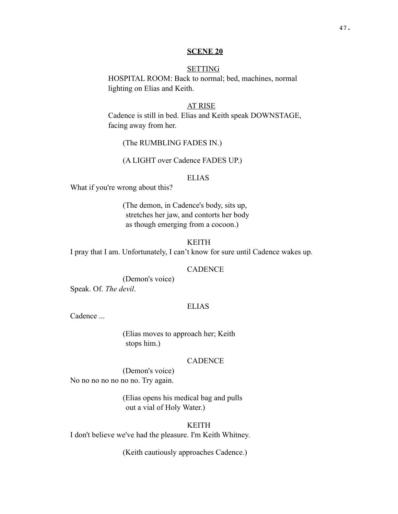#### **SCENE 20**

## **SETTING**

HOSPITAL ROOM: Back to normal; bed, machines, normal lighting on Elias and Keith.

#### AT RISE

Cadence is still in bed. Elias and Keith speak DOWNSTAGE, facing away from her.

(The RUMBLING FADES IN.)

(A LIGHT over Cadence FADES UP.)

#### ELIAS

What if you're wrong about this?

(The demon, in Cadence's body, sits up, stretches her jaw, and contorts her body as though emerging from a cocoon.)

KEITH

I pray that I am. Unfortunately, I can't know for sure until Cadence wakes up.

## **CADENCE**

(Demon's voice)

Speak. Of. *The devil*.

## ELIAS

Cadence ...

(Elias moves to approach her; Keith stops him.)

## **CADENCE**

(Demon's voice) No no no no no no no. Try again.

> (Elias opens his medical bag and pulls out a vial of Holy Water.)

## KEITH

I don't believe we've had the pleasure. I'm Keith Whitney.

(Keith cautiously approaches Cadence.)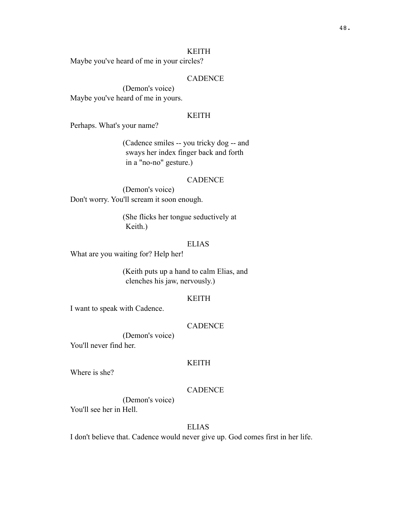Maybe you've heard of me in your circles?

# **CADENCE**

(Demon's voice) Maybe you've heard of me in yours.

# KEITH

Perhaps. What's your name?

(Cadence smiles -- you tricky dog -- and sways her index finger back and forth in a "no-no" gesture.)

#### CADENCE

(Demon's voice) Don't worry. You'll scream it soon enough.

> (She flicks her tongue seductively at Keith.)

## ELIAS

What are you waiting for? Help her!

(Keith puts up a hand to calm Elias, and clenches his jaw, nervously.)

#### KEITH

I want to speak with Cadence.

#### **CADENCE**

(Demon's voice) You'll never find her.

#### KEITH

Where is she?

# **CADENCE**

(Demon's voice) You'll see her in Hell.

## ELIAS

I don't believe that. Cadence would never give up. God comes first in her life.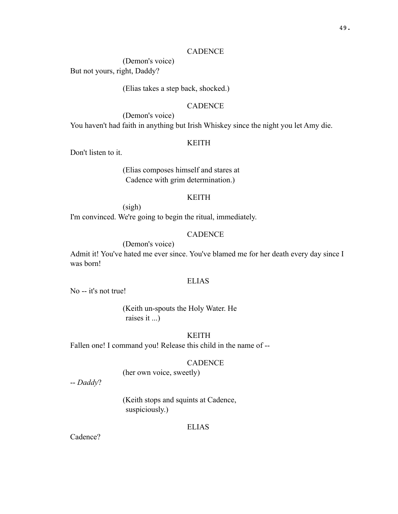## CADENCE

(Demon's voice) But not yours, right, Daddy?

(Elias takes a step back, shocked.)

# **CADENCE**

(Demon's voice) You haven't had faith in anything but Irish Whiskey since the night you let Amy die.

## KEITH

Don't listen to it.

(Elias composes himself and stares at Cadence with grim determination.)

## KEITH

(sigh)

I'm convinced. We're going to begin the ritual, immediately.

## **CADENCE**

(Demon's voice)

Admit it! You've hated me ever since. You've blamed me for her death every day since I was born!

## ELIAS

No -- it's not true!

(Keith un-spouts the Holy Water. He raises it ...)

# KEITH

Fallen one! I command you! Release this child in the name of --

#### **CADENCE**

(her own voice, sweetly)

-- *Daddy*?

(Keith stops and squints at Cadence, suspiciously.)

#### ELIAS

Cadence?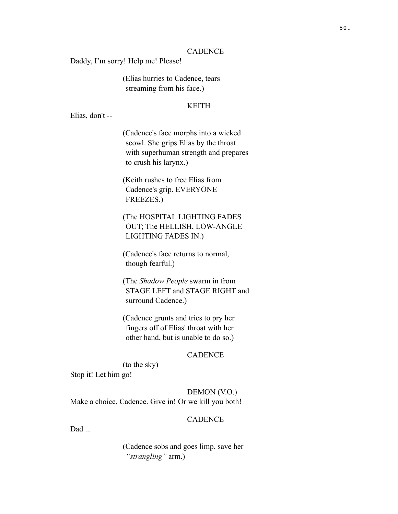## CADENCE

Daddy, I'm sorry! Help me! Please!

(Elias hurries to Cadence, tears streaming from his face.)

## KEITH

Elias, don't --

(Cadence's face morphs into a wicked scowl. She grips Elias by the throat with superhuman strength and prepares to crush his larynx.)

(Keith rushes to free Elias from Cadence's grip. EVERYONE FREEZES.)

(The HOSPITAL LIGHTING FADES OUT; The HELLISH, LOW-ANGLE LIGHTING FADES IN.)

(Cadence's face returns to normal, though fearful.)

(The *Shadow People* swarm in from STAGE LEFT and STAGE RIGHT and surround Cadence.)

(Cadence grunts and tries to pry her fingers off of Elias' throat with her other hand, but is unable to do so.)

## **CADENCE**

(to the sky)

Stop it! Let him go!

# DEMON (V.O.)

Make a choice, Cadence. Give in! Or we kill you both!

#### CADENCE

Dad ...

(Cadence sobs and goes limp, save her *"strangling"* arm.)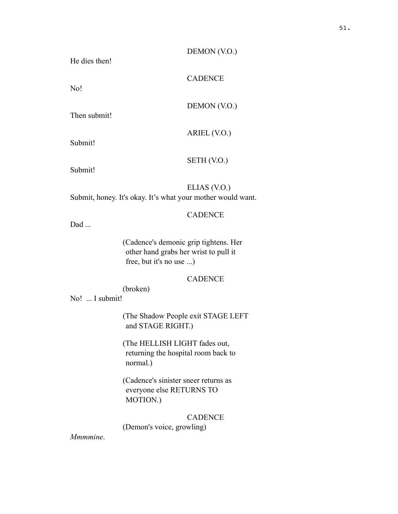## DEMON (V.O.)

DEMON (V.O.)

ARIEL (V.O.)

**CADENCE** 

He dies then!

No!

Then submit!

Submit!

Submit!

## ELIAS (V.O.)

SETH (V.O.)

Submit, honey. It's okay. It's what your mother would want.

# **CADENCE**

Dad ...

(Cadence's demonic grip tightens. Her other hand grabs her wrist to pull it free, but it's no use ...)

## **CADENCE**

(broken)

No! ... I submit!

(The Shadow People exit STAGE LEFT and STAGE RIGHT.)

(The HELLISH LIGHT fades out, returning the hospital room back to normal.)

(Cadence's sinister sneer returns as everyone else RETURNS TO MOTION.)

# **CADENCE**

(Demon's voice, growling)

*Mmmmine*.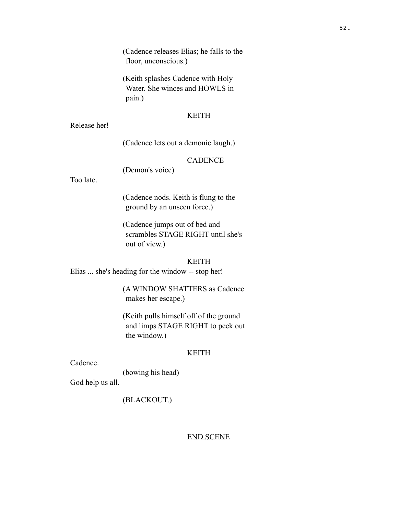(Cadence releases Elias; he falls to the floor, unconscious.)

(Keith splashes Cadence with Holy Water. She winces and HOWLS in pain.)

#### KEITH

Release her!

(Cadence lets out a demonic laugh.)

# **CADENCE**

(Demon's voice)

Too late.

(Cadence nods. Keith is flung to the ground by an unseen force.)

(Cadence jumps out of bed and scrambles STAGE RIGHT until she's out of view.)

## KEITH

Elias ... she's heading for the window -- stop her!

(A WINDOW SHATTERS as Cadence makes her escape.)

(Keith pulls himself off of the ground and limps STAGE RIGHT to peek out the window.)

# KEITH

Cadence.

(bowing his head)

God help us all.

# (BLACKOUT.)

## END SCENE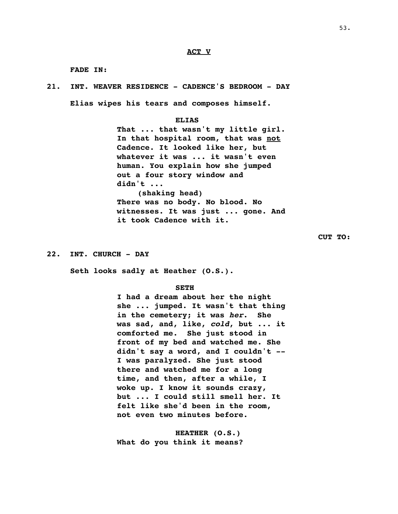#### **ACT V**

**FADE IN:**

**21. INT. WEAVER RESIDENCE - CADENCE'S BEDROOM - DAY Elias wipes his tears and composes himself.**

#### **ELIAS**

**That ... that wasn't my little girl. In that hospital room, that was not Cadence. It looked like her, but whatever it was ... it wasn't even human. You explain how she jumped out a four story window and didn't ... (shaking head) There was no body. No blood. No witnesses. It was just ... gone. And it took Cadence with it.**

**CUT TO:**

**22. INT. CHURCH - DAY**

**Seth looks sadly at Heather (O.S.).** 

#### **SETH**

**I had a dream about her the night she ... jumped. It wasn't that thing in the cemetery; it was** *her***. She was sad, and, like,** *cold***, but ... it comforted me. She just stood in front of my bed and watched me. She didn't say a word, and I couldn't -- I was paralyzed. She just stood there and watched me for a long time, and then, after a while, I woke up. I know it sounds crazy, but ... I could still smell her. It felt like she'd been in the room, not even two minutes before.** 

**HEATHER (O.S.) What do you think it means?**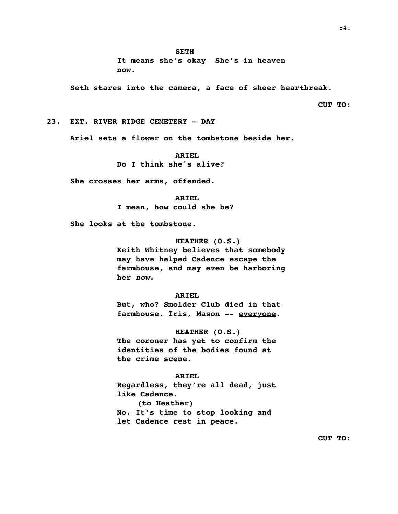**It means she's okay She's in heaven now.** 

**Seth stares into the camera, a face of sheer heartbreak.**

**CUT TO:**

**23. EXT. RIVER RIDGE CEMETERY - DAY**

**Ariel sets a flower on the tombstone beside her.**

#### **ARIEL**

**Do I think she's alive?**

**She crosses her arms, offended.**

#### **ARIEL**

**I mean, how could she be?**

**She looks at the tombstone.**

#### **HEATHER (O.S.)**

**Keith Whitney believes that somebody may have helped Cadence escape the farmhouse, and may even be harboring her** *now***.**

#### **ARIEL**

**But, who? Smolder Club died in that farmhouse. Iris, Mason -- everyone.**

#### **HEATHER (O.S.)**

**The coroner has yet to confirm the identities of the bodies found at the crime scene.**

#### **ARIEL**

**Regardless, they're all dead, just like Cadence. (to Heather) No. It's time to stop looking and let Cadence rest in peace.**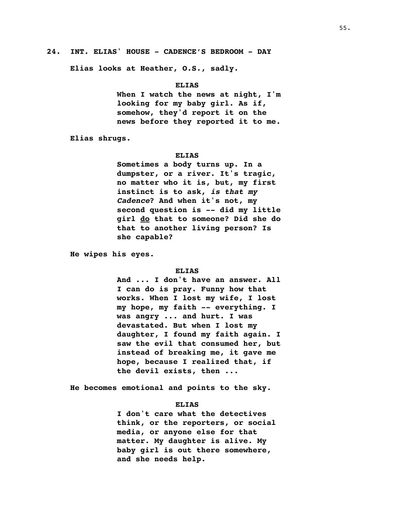#### **24. INT. ELIAS' HOUSE - CADENCE'S BEDROOM - DAY**

**Elias looks at Heather, O.S., sadly.**

#### **ELIAS**

**When I watch the news at night, I'm looking for my baby girl. As if, somehow, they'd report it on the news before they reported it to me.** 

**Elias shrugs.**

#### **ELIAS**

**Sometimes a body turns up. In a dumpster, or a river. It's tragic, no matter who it is, but, my first instinct is to ask,** *is that my Cadence***? And when it's not, my second question is -- did my little girl do that to someone? Did she do that to another living person? Is she capable?** 

**He wipes his eyes.**

#### **ELIAS**

**And ... I don't have an answer. All I can do is pray. Funny how that works. When I lost my wife, I lost my hope, my faith -- everything. I was angry ... and hurt. I was devastated. But when I lost my daughter, I found my faith again. I saw the evil that consumed her, but instead of breaking me, it gave me hope, because I realized that, if the devil exists, then ...**

**He becomes emotional and points to the sky.**

#### **ELIAS**

**I don't care what the detectives think, or the reporters, or social media, or anyone else for that matter. My daughter is alive. My baby girl is out there somewhere, and she needs help.**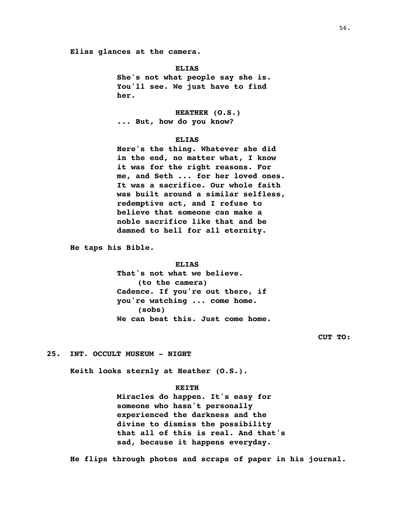**Elias glances at the camera.**

**ELIAS**

**She's not what people say she is. You'll see. We just have to find her.** 

**HEATHER (O.S.) ... But, how do you know?**

#### **ELIAS**

**Here's the thing. Whatever she did in the end, no matter what, I know it was for the right reasons. For me, and Seth ... for her loved ones. It was a sacrifice. Our whole faith was built around a similar selfless, redemptive act, and I refuse to believe that someone can make a noble sacrifice like that and be damned to hell for all eternity.** 

**He taps his Bible.**

#### **ELIAS**

**That's not what we believe. (to the camera) Cadence. If you're out there, if you're watching ... come home. (sobs) We can beat this. Just come home.** 

**CUT TO:**

## **25. INT. OCCULT MUSEUM - NIGHT**

**Keith looks sternly at Heather (O.S.).**

#### **KEITH**

**Miracles do happen. It's easy for someone who hasn't personally experienced the darkness and the divine to dismiss the possibility that all of this is real. And that's sad, because it happens everyday.** 

**He flips through photos and scraps of paper in his journal.**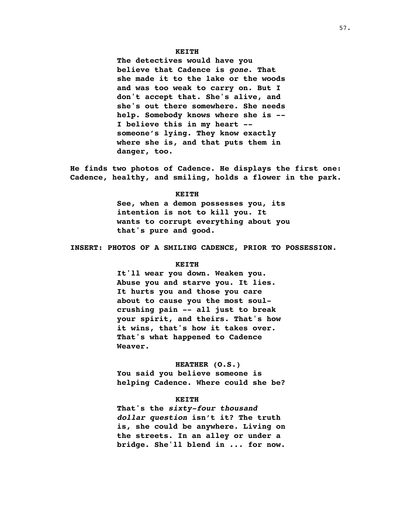#### **KEITH**

**The detectives would have you believe that Cadence is** *gone***. That she made it to the lake or the woods and was too weak to carry on. But I don't accept that. She's alive, and she's out there somewhere. She needs help. Somebody knows where she is -- I believe this in my heart - someone's lying. They know exactly where she is, and that puts them in danger, too.**

**He finds two photos of Cadence. He displays the first one: Cadence, healthy, and smiling, holds a flower in the park.**

#### **KEITH**

**See, when a demon possesses you, its intention is not to kill you. It wants to corrupt everything about you that's pure and good.** 

**INSERT: PHOTOS OF A SMILING CADENCE, PRIOR TO POSSESSION.**

#### **KEITH**

**It'll wear you down. Weaken you. Abuse you and starve you. It lies. It hurts you and those you care about to cause you the most soulcrushing pain -- all just to break your spirit, and theirs. That's how it wins, that's how it takes over. That's what happened to Cadence Weaver.** 

#### **HEATHER (O.S.)**

**You said you believe someone is helping Cadence. Where could she be?**

#### **KEITH**

**That's the** *sixty-four thousand dollar question* **isn't it? The truth is, she could be anywhere. Living on the streets. In an alley or under a bridge. She'll blend in ... for now.**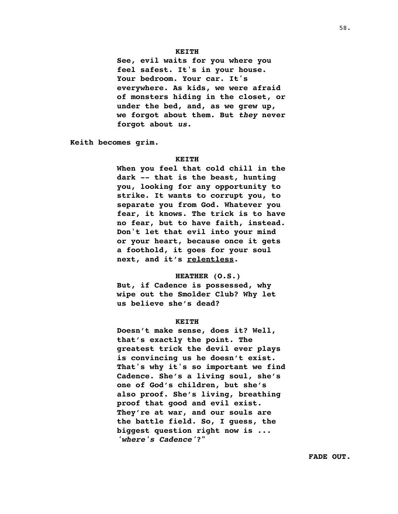#### **KEITH**

**See, evil waits for you where you feel safest. It's in your house. Your bedroom. Your car. It's everywhere. As kids, we were afraid of monsters hiding in the closet, or under the bed, and, as we grew up, we forgot about them. But** *they* **never forgot about** *us***.** 

**Keith becomes grim.**

#### **KEITH**

**When you feel that cold chill in the dark -- that is the beast, hunting you, looking for any opportunity to strike. It wants to corrupt you, to separate you from God. Whatever you fear, it knows. The trick is to have no fear, but to have faith, instead. Don't let that evil into your mind or your heart, because once it gets a foothold, it goes for your soul next, and it's relentless.** 

#### **HEATHER (O.S.)**

**But, if Cadence is possessed, why wipe out the Smolder Club? Why let us believe she's dead?**

#### **KEITH**

**Doesn't make sense, does it? Well, that's exactly the point. The greatest trick the devil ever plays is convincing us he doesn't exist. That's why it's so important we find Cadence. She's a living soul, she's one of God's children, but she's also proof. She's living, breathing proof that good and evil exist. They're at war, and our souls are the battle field. So, I guess, the biggest question right now is ...**  *'where's Cadence'***?"**